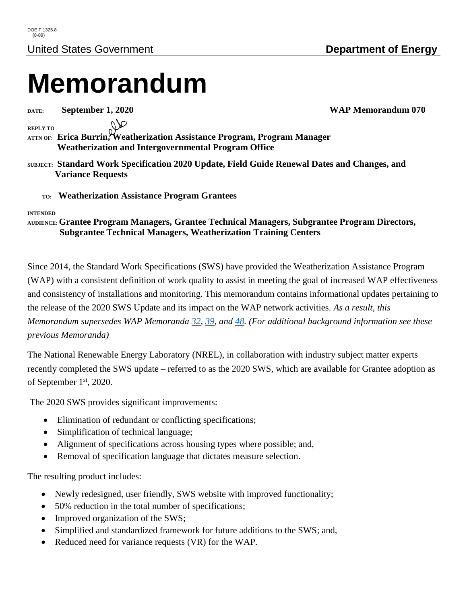# **Memorandum**

**DATE: September 1, 2020 WAP Memorandum 070**

**REPLY TO**

**ATTN OF: Erica Burrin, Weatherization Assistance Program, Program Manager Weatherization and Intergovernmental Program Office**

**SUBJECT: Standard Work Specification 2020 Update, Field Guide Renewal Dates and Changes, and Variance Requests** 

 **TO: Weatherization Assistance Program Grantees**

#### **INTENDED**

#### **AUDIENCE:Grantee Program Managers, Grantee Technical Managers, Subgrantee Program Directors, Subgrantee Technical Managers, Weatherization Training Centers**

Since 2014, the Standard Work Specifications (SWS) have provided the Weatherization Assistance Program (WAP) with a consistent definition of work quality to assist in meeting the goal of increased WAP effectiveness and consistency of installations and monitoring. This memorandum contains informational updates pertaining to the release of the 2020 SWS Update and its impact on the WAP network activities. *As a result, this Memorandum supersedes WAP Memoranda [32,](https://www.energy.gov/eere/wap/downloads/wap-program-guidance-032-update-field-guide-expiration-reminder-wap-grantees-new) [39,](https://www.energy.gov/eere/wap/downloads/wap-memorandum-039-update-field-guide-expiration-reminder-wap-grantees-new) and [48.](https://www.energy.gov/eere/wap/downloads/wap-memorandum-048-updated-maintenance-process-standard-work-specifications) (For additional background information see these previous Memoranda)*

The National Renewable Energy Laboratory (NREL), in collaboration with industry subject matter experts recently completed the SWS update – referred to as the 2020 SWS, which are available for Grantee adoption as of September 1<sup>st</sup>, 2020.

The 2020 SWS provides significant improvements:

- Elimination of redundant or conflicting specifications;
- Simplification of technical language;
- Alignment of specifications across housing types where possible; and,
- Removal of specification language that dictates measure selection.

The resulting product includes:

- Newly redesigned, user friendly, SWS website with improved functionality;
- 50% reduction in the total number of specifications;
- Improved organization of the SWS;
- Simplified and standardized framework for future additions to the SWS; and,
- Reduced need for variance requests (VR) for the WAP.